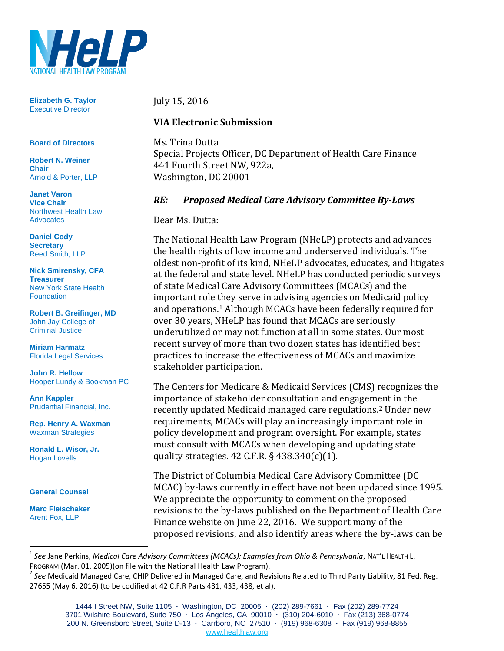

**Elizabeth G. Taylor** Executive Director

#### **Board of Directors**

**Robert N. Weiner Chair** Arnold & Porter, LLP

**Janet Varon Vice Chair** Northwest Health Law **Advocates** 

**Daniel Cody Secretary** Reed Smith, LLP

**Nick Smirensky, CFA Treasurer** New York State Health **Foundation** 

**Robert B. Greifinger, MD** John Jay College of Criminal Justice

**Miriam Harmatz** Florida Legal Services

**John R. Hellow** Hooper Lundy & Bookman PC

**Ann Kappler** Prudential Financial, Inc.

**Rep. Henry A. Waxman** Waxman Strategies

**Ronald L. Wisor, Jr.** Hogan Lovells

**General Counsel**

**Marc Fleischaker** Arent Fox, LLP

#### July 15, 2016

#### **VIA Electronic Submission**

Ms. Trina Dutta Special Projects Officer, DC Department of Health Care Finance 441 Fourth Street NW, 922a, Washington, DC 20001

#### *RE: Proposed Medical Care Advisory Committee By-Laws*

Dear Ms. Dutta:

The National Health Law Program (NHeLP) protects and advances the health rights of low income and underserved individuals. The oldest non-profit of its kind, NHeLP advocates, educates, and litigates at the federal and state level. NHeLP has conducted periodic surveys of state Medical Care Advisory Committees (MCACs) and the important role they serve in advising agencies on Medicaid policy and operations.<sup>1</sup> Although MCACs have been federally required for over 30 years, NHeLP has found that MCACs are seriously underutilized or may not function at all in some states. Our most recent survey of more than two dozen states has identified best practices to increase the effectiveness of MCACs and maximize stakeholder participation.

The Centers for Medicare & Medicaid Services (CMS) recognizes the importance of stakeholder consultation and engagement in the recently updated Medicaid managed care regulations.<sup>2</sup> Under new requirements, MCACs will play an increasingly important role in policy development and program oversight. For example, states must consult with MCACs when developing and updating state quality strategies. 42 C.F.R. § 438.340(c)(1).

The District of Columbia Medical Care Advisory Committee (DC MCAC) by-laws currently in effect have not been updated since 1995. We appreciate the opportunity to comment on the proposed revisions to the by-laws published on the Department of Health Care Finance website on June 22, 2016. We support many of the proposed revisions, and also identify areas where the by-laws can be

<sup>1</sup> *See* Jane Perkins, *Medical Care Advisory Committees (MCACs): Examples from Ohio & Pennsylvania*, NAT'L HEALTH L. PROGRAM (Mar. 01, 2005)(on file with the National Health Law Program).

<sup>&</sup>lt;sup>2</sup> See Medicaid Managed Care, CHIP Delivered in Managed Care, and Revisions Related to Third Party Liability, 81 Fed. Reg. 27655 (May 6, 2016) (to be codified at 42 C.F.R Parts 431, 433, 438, et al).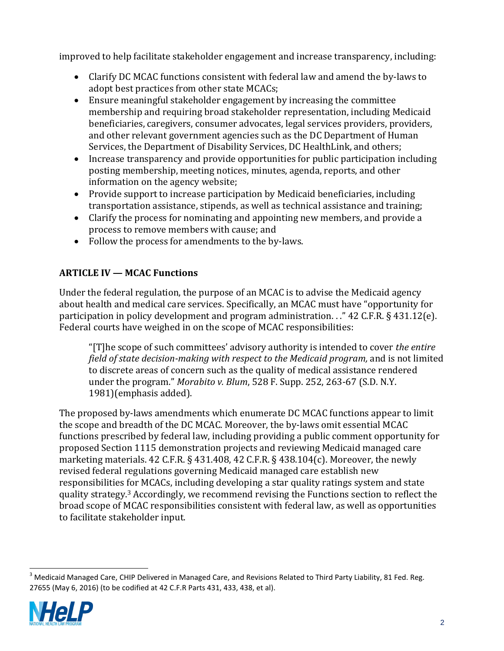improved to help facilitate stakeholder engagement and increase transparency, including:

- Clarify DC MCAC functions consistent with federal law and amend the by-laws to adopt best practices from other state MCACs;
- Ensure meaningful stakeholder engagement by increasing the committee membership and requiring broad stakeholder representation, including Medicaid beneficiaries, caregivers, consumer advocates, legal services providers, providers, and other relevant government agencies such as the DC Department of Human Services, the Department of Disability Services, DC HealthLink, and others;
- Increase transparency and provide opportunities for public participation including posting membership, meeting notices, minutes, agenda, reports, and other information on the agency website;
- Provide support to increase participation by Medicaid beneficiaries, including transportation assistance, stipends, as well as technical assistance and training;
- Clarify the process for nominating and appointing new members, and provide a process to remove members with cause; and
- Follow the process for amendments to the by-laws.

# **ARTICLE IV — MCAC Functions**

Under the federal regulation, the purpose of an MCAC is to advise the Medicaid agency about health and medical care services. Specifically, an MCAC must have "opportunity for participation in policy development and program administration. . ." 42 C.F.R. § 431.12(e). Federal courts have weighed in on the scope of MCAC responsibilities:

"[T]he scope of such committees' advisory authority is intended to cover *the entire field of state decision-making with respect to the Medicaid program,* and is not limited to discrete areas of concern such as the quality of medical assistance rendered under the program." *Morabito v. Blum*, 528 F. Supp. 252, 263-67 (S.D. N.Y. 1981)(emphasis added).

The proposed by-laws amendments which enumerate DC MCAC functions appear to limit the scope and breadth of the DC MCAC. Moreover, the by-laws omit essential MCAC functions prescribed by federal law, including providing a public comment opportunity for proposed Section 1115 demonstration projects and reviewing Medicaid managed care marketing materials. 42 C.F.R. § 431.408, 42 C.F.R. § 438.104(c). Moreover, the newly revised federal regulations governing Medicaid managed care establish new responsibilities for MCACs, including developing a star quality ratings system and state quality strategy.<sup>3</sup> Accordingly, we recommend revising the Functions section to reflect the broad scope of MCAC responsibilities consistent with federal law, as well as opportunities to facilitate stakeholder input.

 $\overline{a}$  $^3$  Medicaid Managed Care, CHIP Delivered in Managed Care, and Revisions Related to Third Party Liability, 81 Fed. Reg. 27655 (May 6, 2016) (to be codified at 42 C.F.R Parts 431, 433, 438, et al).

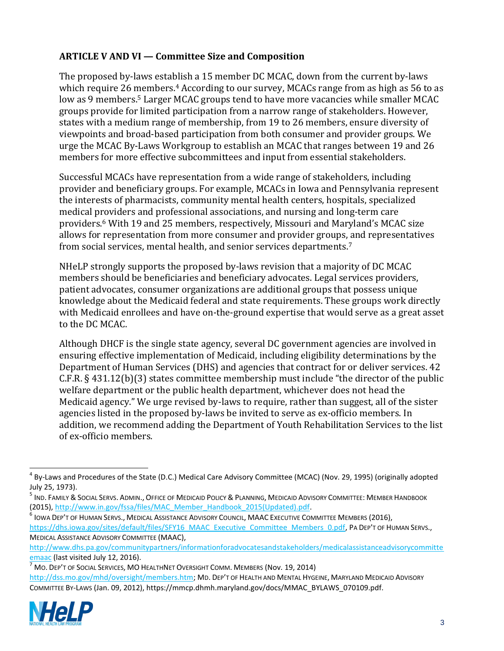### **ARTICLE V AND VI — Committee Size and Composition**

The proposed by-laws establish a 15 member DC MCAC, down from the current by-laws which require 26 members.<sup>4</sup> According to our survey, MCACs range from as high as 56 to as low as 9 members.<sup>5</sup> Larger MCAC groups tend to have more vacancies while smaller MCAC groups provide for limited participation from a narrow range of stakeholders. However, states with a medium range of membership, from 19 to 26 members, ensure diversity of viewpoints and broad-based participation from both consumer and provider groups. We urge the MCAC By-Laws Workgroup to establish an MCAC that ranges between 19 and 26 members for more effective subcommittees and input from essential stakeholders.

Successful MCACs have representation from a wide range of stakeholders, including provider and beneficiary groups. For example, MCACs in Iowa and Pennsylvania represent the interests of pharmacists, community mental health centers, hospitals, specialized medical providers and professional associations, and nursing and long-term care providers.<sup>6</sup> With 19 and 25 members, respectively, Missouri and Maryland's MCAC size allows for representation from more consumer and provider groups, and representatives from social services, mental health, and senior services departments.<sup>7</sup>

NHeLP strongly supports the proposed by-laws revision that a majority of DC MCAC members should be beneficiaries and beneficiary advocates. Legal services providers, patient advocates, consumer organizations are additional groups that possess unique knowledge about the Medicaid federal and state requirements. These groups work directly with Medicaid enrollees and have on-the-ground expertise that would serve as a great asset to the DC MCAC.

Although DHCF is the single state agency, several DC government agencies are involved in ensuring effective implementation of Medicaid, including eligibility determinations by the Department of Human Services (DHS) and agencies that contract for or deliver services. 42 C.F.R. § 431.12(b)(3) states committee membership must include "the director of the public welfare department or the public health department, whichever does not head the Medicaid agency." We urge revised by-laws to require, rather than suggest, all of the sister agencies listed in the proposed by-laws be invited to serve as ex-officio members. In addition, we recommend adding the Department of Youth Rehabilitation Services to the list of ex-officio members.

 $^6$  Iowa Dep't of Human Servs., Medical Assistance Advisory Council, MAAC Executive Committee Members (2016), [https://dhs.iowa.gov/sites/default/files/SFY16\\_MAAC\\_Executive\\_Committee\\_Members\\_0.pdf,](https://dhs.iowa.gov/sites/default/files/SFY16_MAAC_Executive_Committee_Members_0.pdf) PA DEP'T OF HUMAN SERVS., MEDICAL ASSISTANCE ADVISORY COMMITTEE (MAAC),

<sup>7</sup> MO. DEP'T OF SOCIAL SERVICES, MO HEALTHNET OVERSIGHT COMM. MEMBERS (Nov. 19, 2014) [http://dss.mo.gov/mhd/oversight/members.htm;](http://dss.mo.gov/mhd/oversight/members.htm) MD. DEP'T OF HEALTH AND MENTAL HYGEINE, MARYLAND MEDICAID ADVISORY COMMITTEE BY-LAWS (Jan. 09, 2012), https://mmcp.dhmh.maryland.gov/docs/MMAC\_BYLAWS\_070109.pdf.



<sup>&</sup>lt;sup>4</sup> By-Laws and Procedures of the State (D.C.) Medical Care Advisory Committee (MCAC) (Nov. 29, 1995) (originally adopted July 25, 1973).

<sup>&</sup>lt;sup>5</sup> Ind. Family & Social Servs. Admin., Office of Medicaid Policy & Planning, Medicaid Advisory Committee: Member Handbook (2015), [http://www.in.gov/fssa/files/MAC\\_Member\\_Handbook\\_2015\(Updated\).pdf.](http://www.in.gov/fssa/files/MAC_Member_Handbook_2015(Updated).pdf)

[http://www.dhs.pa.gov/communitypartners/informationforadvocatesandstakeholders/medicalassistanceadvisorycommitte](http://www.dhs.pa.gov/communitypartners/informationforadvocatesandstakeholders/medicalassistanceadvisorycommitteemaac) [emaac](http://www.dhs.pa.gov/communitypartners/informationforadvocatesandstakeholders/medicalassistanceadvisorycommitteemaac) (last visited July 12, 2016).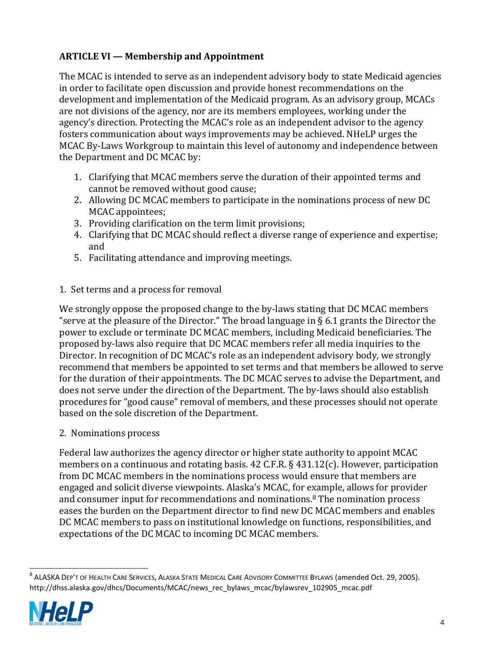# **ARTICLE VI — Membership and Appointment**

The MCAC is intended to serve as an independent advisory body to state Medicaid agencies in order to facilitate open discussion and provide honest recommendations on the development and implementation of the Medicaid program. As an advisory group, MCACs are not divisions of the agency, nor are its members employees, working under the agency's direction. Protecting the MCAC's role as an independent advisor to the agency fosters communication about ways improvements may be achieved. NHeLP urges the MCAC By-Laws Workgroup to maintain this level of autonomy and independence between the Department and DC MCAC by:

- 1. Clarifying that MCAC members serve the duration of their appointed terms and cannot be removed without good cause;
- 2. Allowing DC MCAC members to participate in the nominations process of new DC MCAC appointees;
- 3. Providing clarification on the term limit provisions;
- 4. Clarifying that DC MCAC should reflect a diverse range of experience and expertise; and
- 5. Facilitating attendance and improving meetings.

#### 1. Set terms and a process for removal

We strongly oppose the proposed change to the by-laws stating that DC MCAC members "serve at the pleasure of the Director." The broad language in  $\S$  6.1 grants the Director the power to exclude or terminate DC MCAC members, including Medicaid beneficiaries. The proposed by-laws also require that DC MCAC members refer all media inquiries to the Director. In recognition of DC MCAC's role as an independent advisory body, we strongly recommend that members be appointed to set terms and that members be allowed to serve for the duration of their appointments. The DC MCAC serves to advise the Department, and does not serve under the direction of the Department. The by-laws should also establish procedures for "good cause" removal of members, and these processes should not operate based on the sole discretion of the Department.

2. Nominations process

Federal law authorizes the agency director or higher state authority to appoint MCAC members on a continuous and rotating basis. 42 C.F.R. § 431.12(c). However, participation from DC MCAC members in the nominations process would ensure that members are engaged and solicit diverse viewpoints. Alaska's MCAC, for example, allows for provider and consumer input for recommendations and nominations.<sup>8</sup> The nomination process eases the burden on the Department director to find new DC MCAC members and enables DC MCAC members to pass on institutional knowledge on functions, responsibilities, and expectations of the DC MCAC to incoming DC MCAC members.

 8 ALASKA DEP'T OF HEALTH CARE SERVICES, ALASKA STATE MEDICAL CARE ADVISORY COMMITTEE BYLAWS (amended Oct. 29, 2005). http://dhss.alaska.gov/dhcs/Documents/MCAC/news\_rec\_bylaws\_mcac/bylawsrev\_102905\_mcac.pdf

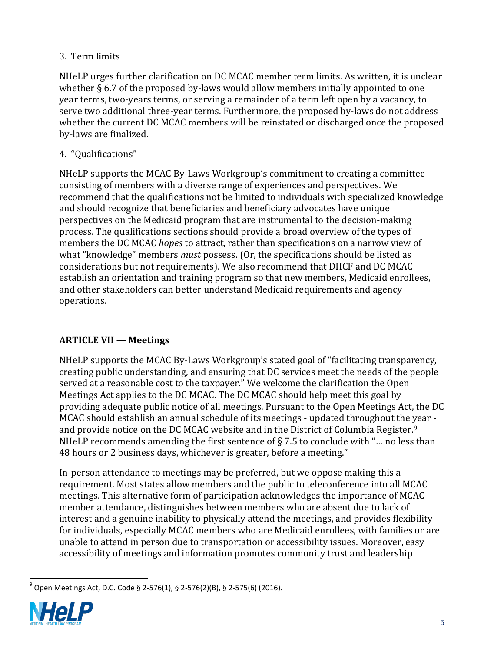# 3. Term limits

NHeLP urges further clarification on DC MCAC member term limits. As written, it is unclear whether § 6.7 of the proposed by-laws would allow members initially appointed to one year terms, two-years terms, or serving a remainder of a term left open by a vacancy, to serve two additional three-year terms. Furthermore, the proposed by-laws do not address whether the current DC MCAC members will be reinstated or discharged once the proposed by-laws are finalized.

# 4. "Qualifications"

NHeLP supports the MCAC By-Laws Workgroup's commitment to creating a committee consisting of members with a diverse range of experiences and perspectives. We recommend that the qualifications not be limited to individuals with specialized knowledge and should recognize that beneficiaries and beneficiary advocates have unique perspectives on the Medicaid program that are instrumental to the decision-making process. The qualifications sections should provide a broad overview of the types of members the DC MCAC *hopes* to attract, rather than specifications on a narrow view of what "knowledge" members *must* possess. (Or, the specifications should be listed as considerations but not requirements). We also recommend that DHCF and DC MCAC establish an orientation and training program so that new members, Medicaid enrollees, and other stakeholders can better understand Medicaid requirements and agency operations.

# **ARTICLE VII — Meetings**

NHeLP supports the MCAC By-Laws Workgroup's stated goal of "facilitating transparency, creating public understanding, and ensuring that DC services meet the needs of the people served at a reasonable cost to the taxpayer." We welcome the clarification the Open Meetings Act applies to the DC MCAC. The DC MCAC should help meet this goal by providing adequate public notice of all meetings. Pursuant to the Open Meetings Act, the DC MCAC should establish an annual schedule of its meetings - updated throughout the year and provide notice on the DC MCAC website and in the District of Columbia Register.<sup>9</sup> NHeLP recommends amending the first sentence of  $\S 7.5$  to conclude with "... no less than 48 hours or 2 business days, whichever is greater, before a meeting."

In-person attendance to meetings may be preferred, but we oppose making this a requirement. Most states allow members and the public to teleconference into all MCAC meetings. This alternative form of participation acknowledges the importance of MCAC member attendance, distinguishes between members who are absent due to lack of interest and a genuine inability to physically attend the meetings, and provides flexibility for individuals, especially MCAC members who are Medicaid enrollees, with families or are unable to attend in person due to transportation or accessibility issues. Moreover, easy accessibility of meetings and information promotes community trust and leadership

 9 Open Meetings Act, D.C. Code § 2-576(1), § 2-576(2)(B), § 2-575(6) (2016).

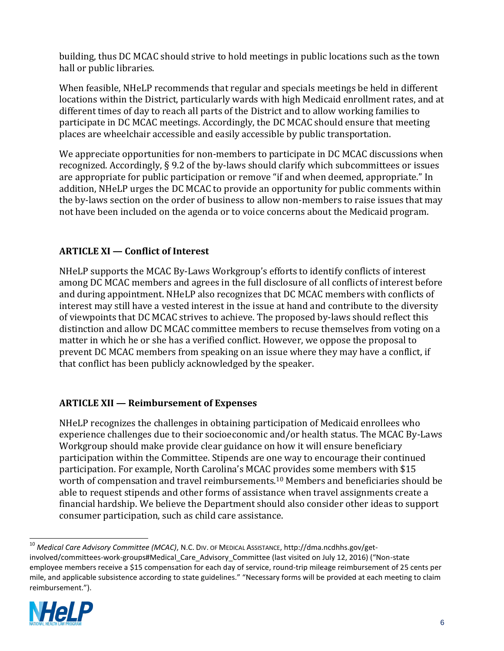building, thus DC MCAC should strive to hold meetings in public locations such as the town hall or public libraries.

When feasible, NHeLP recommends that regular and specials meetings be held in different locations within the District, particularly wards with high Medicaid enrollment rates, and at different times of day to reach all parts of the District and to allow working families to participate in DC MCAC meetings. Accordingly, the DC MCAC should ensure that meeting places are wheelchair accessible and easily accessible by public transportation.

We appreciate opportunities for non-members to participate in DC MCAC discussions when recognized. Accordingly, § 9.2 of the by-laws should clarify which subcommittees or issues are appropriate for public participation or remove "if and when deemed, appropriate." In addition, NHeLP urges the DC MCAC to provide an opportunity for public comments within the by-laws section on the order of business to allow non-members to raise issues that may not have been included on the agenda or to voice concerns about the Medicaid program.

## **ARTICLE XI — Conflict of Interest**

NHeLP supports the MCAC By-Laws Workgroup's efforts to identify conflicts of interest among DC MCAC members and agrees in the full disclosure of all conflicts of interest before and during appointment. NHeLP also recognizes that DC MCAC members with conflicts of interest may still have a vested interest in the issue at hand and contribute to the diversity of viewpoints that DC MCAC strives to achieve. The proposed by-laws should reflect this distinction and allow DC MCAC committee members to recuse themselves from voting on a matter in which he or she has a verified conflict. However, we oppose the proposal to prevent DC MCAC members from speaking on an issue where they may have a conflict, if that conflict has been publicly acknowledged by the speaker.

## **ARTICLE XII — Reimbursement of Expenses**

NHeLP recognizes the challenges in obtaining participation of Medicaid enrollees who experience challenges due to their socioeconomic and/or health status. The MCAC By-Laws Workgroup should make provide clear guidance on how it will ensure beneficiary participation within the Committee. Stipends are one way to encourage their continued participation. For example, North Carolina's MCAC provides some members with \$15 worth of compensation and travel reimbursements.<sup>10</sup> Members and beneficiaries should be able to request stipends and other forms of assistance when travel assignments create a financial hardship. We believe the Department should also consider other ideas to support consumer participation, such as child care assistance.

<sup>10</sup> *Medical Care Advisory Committee (MCAC)*, N.C. DIV. OF MEDICAL ASSISTANCE, http://dma.ncdhhs.gov/getinvolved/committees-work-groups#Medical Care Advisory Committee (last visited on July 12, 2016) ("Non-state employee members receive a \$15 compensation for each day of service, round-trip mileage reimbursement of 25 cents per mile, and applicable subsistence according to state guidelines." "Necessary forms will be provided at each meeting to claim reimbursement.").

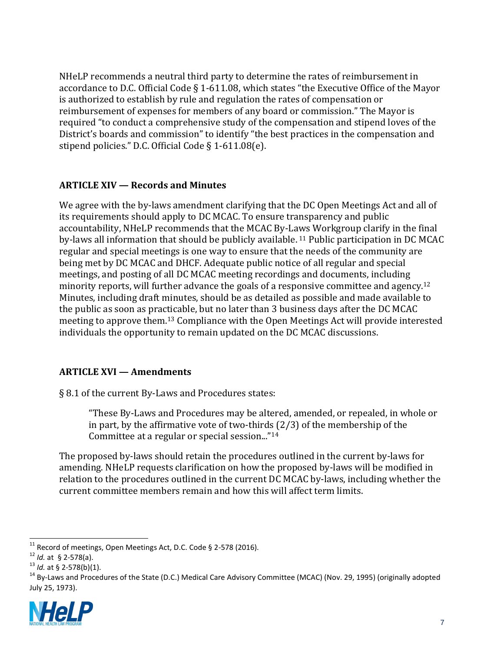NHeLP recommends a neutral third party to determine the rates of reimbursement in accordance to D.C. Official Code § 1-611.08, which states "the Executive Office of the Mayor is authorized to establish by rule and regulation the rates of compensation or reimbursement of expenses for members of any board or commission." The Mayor is required "to conduct a comprehensive study of the compensation and stipend loves of the District's boards and commission" to identify "the best practices in the compensation and stipend policies." D.C. Official Code § 1-611.08(e).

#### **ARTICLE XIV — Records and Minutes**

We agree with the by-laws amendment clarifying that the DC Open Meetings Act and all of its requirements should apply to DC MCAC. To ensure transparency and public accountability, NHeLP recommends that the MCAC By-Laws Workgroup clarify in the final by-laws all information that should be publicly available. <sup>11</sup> Public participation in DC MCAC regular and special meetings is one way to ensure that the needs of the community are being met by DC MCAC and DHCF. Adequate public notice of all regular and special meetings, and posting of all DC MCAC meeting recordings and documents, including minority reports, will further advance the goals of a responsive committee and agency.<sup>12</sup> Minutes, including draft minutes, should be as detailed as possible and made available to the public as soon as practicable, but no later than 3 business days after the DC MCAC meeting to approve them.<sup>13</sup> Compliance with the Open Meetings Act will provide interested individuals the opportunity to remain updated on the DC MCAC discussions.

#### **ARTICLE XVI — Amendments**

§ 8.1 of the current By-Laws and Procedures states:

"These By-Laws and Procedures may be altered, amended, or repealed, in whole or in part, by the affirmative vote of two-thirds (2/3) of the membership of the Committee at a regular or special session..."<sup>14</sup>

The proposed by-laws should retain the procedures outlined in the current by-laws for amending. NHeLP requests clarification on how the proposed by-laws will be modified in relation to the procedures outlined in the current DC MCAC by-laws, including whether the current committee members remain and how this will affect term limits.

<sup>&</sup>lt;sup>14</sup> Bv-Laws and Procedures of the State (D.C.) Medical Care Advisory Committee (MCAC) (Nov. 29, 1995) (originally adopted July 25, 1973).



  $11$  Record of meetings, Open Meetings Act, D.C. Code § 2-578 (2016).

<sup>12</sup> *Id.* at § 2-578(a).

<sup>13</sup> *Id.* at § 2-578(b)(1).